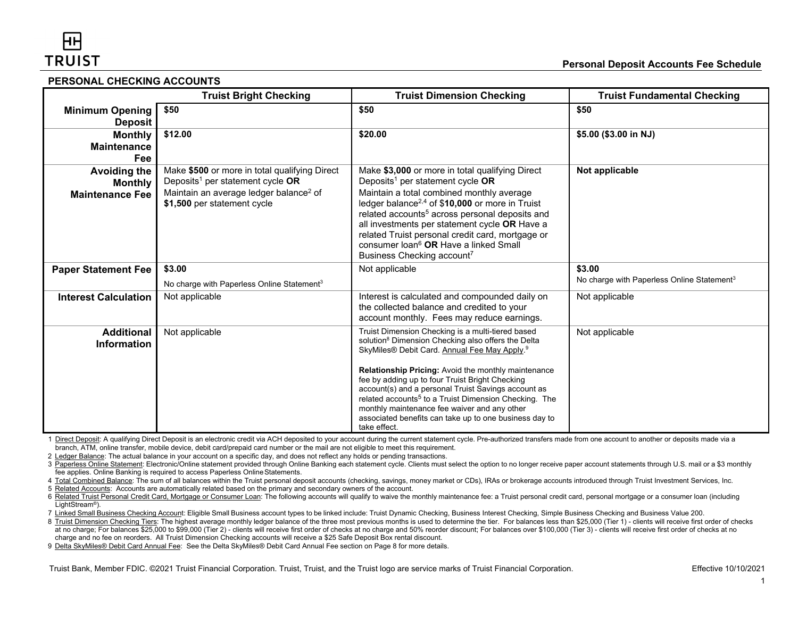#### **PERSONAL CHECKING ACCOUNTS**

|                                                                 | <b>Truist Bright Checking</b>                                                                                                                                                      | <b>Truist Dimension Checking</b>                                                                                                                                                                                                                                                                                                                                                                                                                                                                                                                | <b>Truist Fundamental Checking</b>                               |
|-----------------------------------------------------------------|------------------------------------------------------------------------------------------------------------------------------------------------------------------------------------|-------------------------------------------------------------------------------------------------------------------------------------------------------------------------------------------------------------------------------------------------------------------------------------------------------------------------------------------------------------------------------------------------------------------------------------------------------------------------------------------------------------------------------------------------|------------------------------------------------------------------|
| <b>Minimum Opening</b><br><b>Deposit</b>                        | \$50                                                                                                                                                                               | \$50                                                                                                                                                                                                                                                                                                                                                                                                                                                                                                                                            | \$50                                                             |
| <b>Monthly</b><br><b>Maintenance</b><br>Fee                     | \$12.00                                                                                                                                                                            | \$20.00                                                                                                                                                                                                                                                                                                                                                                                                                                                                                                                                         | \$5.00 (\$3.00 in NJ)                                            |
| <b>Avoiding the</b><br><b>Monthly</b><br><b>Maintenance Fee</b> | Make \$500 or more in total qualifying Direct<br>Deposits <sup>1</sup> per statement cycle OR<br>Maintain an average ledger balance <sup>2</sup> of<br>\$1,500 per statement cycle | Make \$3,000 or more in total qualifying Direct<br>Deposits <sup>1</sup> per statement cycle $OR$<br>Maintain a total combined monthly average<br>ledger balance <sup>2,4</sup> of \$10,000 or more in Truist<br>related accounts <sup>5</sup> across personal deposits and<br>all investments per statement cycle OR Have a<br>related Truist personal credit card, mortgage or<br>consumer loan <sup>6</sup> OR Have a linked Small<br>Business Checking account <sup>7</sup>                                                                 | Not applicable                                                   |
| <b>Paper Statement Fee</b>                                      | \$3.00<br>No charge with Paperless Online Statement <sup>3</sup>                                                                                                                   | Not applicable                                                                                                                                                                                                                                                                                                                                                                                                                                                                                                                                  | \$3.00<br>No charge with Paperless Online Statement <sup>3</sup> |
| <b>Interest Calculation</b>                                     | Not applicable                                                                                                                                                                     | Interest is calculated and compounded daily on<br>the collected balance and credited to your<br>account monthly. Fees may reduce earnings.                                                                                                                                                                                                                                                                                                                                                                                                      | Not applicable                                                   |
| <b>Additional</b><br><b>Information</b>                         | Not applicable                                                                                                                                                                     | Truist Dimension Checking is a multi-tiered based<br>solution <sup>8</sup> Dimension Checking also offers the Delta<br>SkyMiles® Debit Card. Annual Fee May Apply. <sup>9</sup><br>Relationship Pricing: Avoid the monthly maintenance<br>fee by adding up to four Truist Bright Checking<br>account(s) and a personal Truist Savings account as<br>related accounts <sup>5</sup> to a Truist Dimension Checking. The<br>monthly maintenance fee waiver and any other<br>associated benefits can take up to one business day to<br>take effect. | Not applicable                                                   |

1 Direct Deposit: A qualifying Direct Deposit is an electronic credit via ACH deposited to your account during the current statement cycle. Pre-authorized transfers made from one account to another or deposits made via a branch, ATM, online transfer, mobile device, debit card/prepaid card number or the mail are not eligible to meet this requirement.

2 Ledger Balance: The actual balance in your account on a specific day, and does not reflect any holds or pending transactions.

3 Paperless Online Statement: Electronic/Online statement provided through Online Banking each statement cycle. Clients must select the option to no longer receive paper account statements through U.S. mail or a \$3 monthly fee applies. Online Banking is required to access Paperless Online Statements.

4 Total Combined Balance: The sum of all balances within the Truist personal deposit accounts (checking, savings, money market or CDs), IRAs or brokerage accounts introduced through Truist Investment Services, Inc.

5 Related Accounts: Accounts are automatically related based on the primary and secondary owners of the account.

6 Related Truist Personal Credit Card, Mortgage or Consumer Loan: The following accounts will qualify to waive the monthly maintenance fee: a Truist personal credit card, personal mortgage or a consumer loan (including LightStream®).

7 Linked Small Business Checking Account: Eligible Small Business account types to be linked include: Truist Dynamic Checking, Business Interest Checking, Simple Business Checking and Business Value 200.

8 Truist Dimension Checking Tiers: The highest average monthly ledger balance of the three most previous months is used to determine the tier. For balances less than \$25,000 (Tier 1) - clients will receive first order of c at no charge; For balances \$25,000 to \$99,000 (Tier 2) - clients will receive first order of checks at no charge and 50% reorder discount; For balances over \$100,000 (Tier 3) - clients will receive first order of checks at charge and no fee on reorders. All Truist Dimension Checking accounts will receive a \$25 Safe Deposit Box rental discount.

9 Delta SkyMiles® Debit Card Annual Fee: See the Delta SkyMiles® Debit Card Annual Fee section on Page 8 for more details.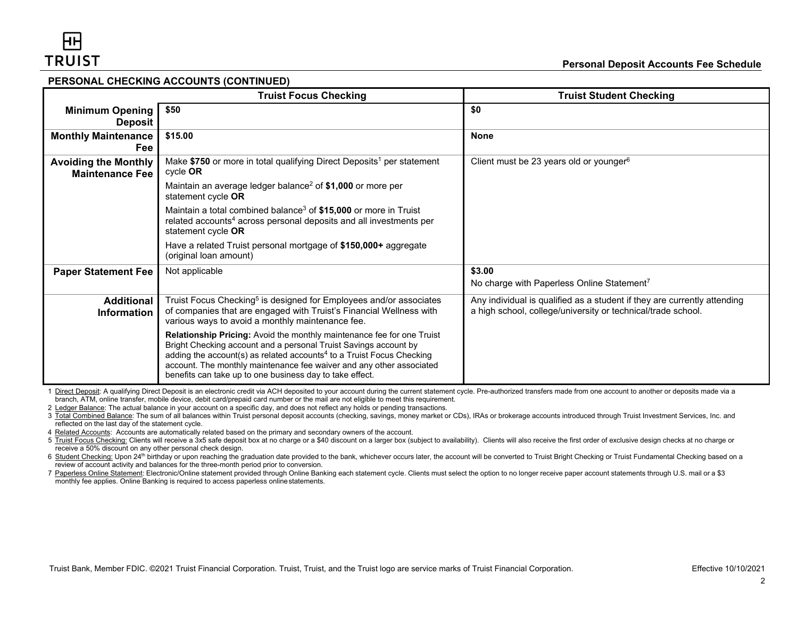#### **PERSONAL CHECKING ACCOUNTS (CONTINUED)**

|                                                       | <b>Truist Focus Checking</b>                                                                                                                                                                                                                                                                                                                                        | <b>Truist Student Checking</b>                                                                                                           |
|-------------------------------------------------------|---------------------------------------------------------------------------------------------------------------------------------------------------------------------------------------------------------------------------------------------------------------------------------------------------------------------------------------------------------------------|------------------------------------------------------------------------------------------------------------------------------------------|
| <b>Minimum Opening</b><br>Deposit                     | \$50                                                                                                                                                                                                                                                                                                                                                                | \$0                                                                                                                                      |
| <b>Monthly Maintenance</b><br><b>Fee</b>              | \$15.00                                                                                                                                                                                                                                                                                                                                                             | None                                                                                                                                     |
| <b>Avoiding the Monthly</b><br><b>Maintenance Fee</b> | Make \$750 or more in total qualifying Direct Deposits <sup>1</sup> per statement<br>cycle OR                                                                                                                                                                                                                                                                       | Client must be 23 years old or younger $6$                                                                                               |
|                                                       | Maintain an average ledger balance <sup>2</sup> of \$1,000 or more per<br>statement cycle OR                                                                                                                                                                                                                                                                        |                                                                                                                                          |
|                                                       | Maintain a total combined balance <sup>3</sup> of \$15,000 or more in Truist<br>related accounts <sup>4</sup> across personal deposits and all investments per<br>statement cycle OR                                                                                                                                                                                |                                                                                                                                          |
|                                                       | Have a related Truist personal mortgage of \$150,000+ aggregate<br>(original loan amount)                                                                                                                                                                                                                                                                           |                                                                                                                                          |
| <b>Paper Statement Fee</b>                            | Not applicable                                                                                                                                                                                                                                                                                                                                                      | \$3.00<br>No charge with Paperless Online Statement <sup>7</sup>                                                                         |
| <b>Additional</b><br><b>Information</b>               | Truist Focus Checking <sup>5</sup> is designed for Employees and/or associates<br>of companies that are engaged with Truist's Financial Wellness with<br>various ways to avoid a monthly maintenance fee.                                                                                                                                                           | Any individual is qualified as a student if they are currently attending<br>a high school, college/university or technical/trade school. |
|                                                       | Relationship Pricing: Avoid the monthly maintenance fee for one Truist<br>Bright Checking account and a personal Truist Savings account by<br>adding the account(s) as related accounts <sup>4</sup> to a Truist Focus Checking<br>account. The monthly maintenance fee waiver and any other associated<br>benefits can take up to one business day to take effect. |                                                                                                                                          |

1 Direct Deposit: A qualifying Direct Deposit is an electronic credit via ACH deposited to your account during the current statement cycle. Pre-authorized transfers made from one account to another or deposits made via a branch, ATM, online transfer, mobile device, debit card/prepaid card number or the mail are not eligible to meet this requirement.

2 Ledger Balance: The actual balance in your account on a specific day, and does not reflect any holds or pending transactions.

3 Total Combined Balance: The sum of all balances within Truist personal deposit accounts (checking, savings, money market or CDs), IRAs or brokerage accounts introduced through Truist Investment Services, Inc. and reflected on the last day of the statement cycle.

4 Related Accounts: Accounts are automatically related based on the primary and secondary owners of the account.

5 Truist Focus Checking: Clients will receive a 3x5 safe deposit box at no charge or a \$40 discount on a larger box (subject to availability). Clients will also receive the first order of exclusive design checks at no char receive a 50% discount on any other personal check design.

6 Student Checking: Upon 24<sup>th</sup> birthday or upon reaching the graduation date provided to the bank, whichever occurs later, the account will be converted to Truist Bright Checking or Truist Fundamental Checking based on a review of account activity and balances for the three-month period prior to conversion.

7 Paperless Online Statement: Electronic/Online statement provided through Online Banking each statement cycle. Clients must select the option to no longer receive paper account statements through U.S. mail or a \$3 monthly fee applies. Online Banking is required to access paperless onlinestatements.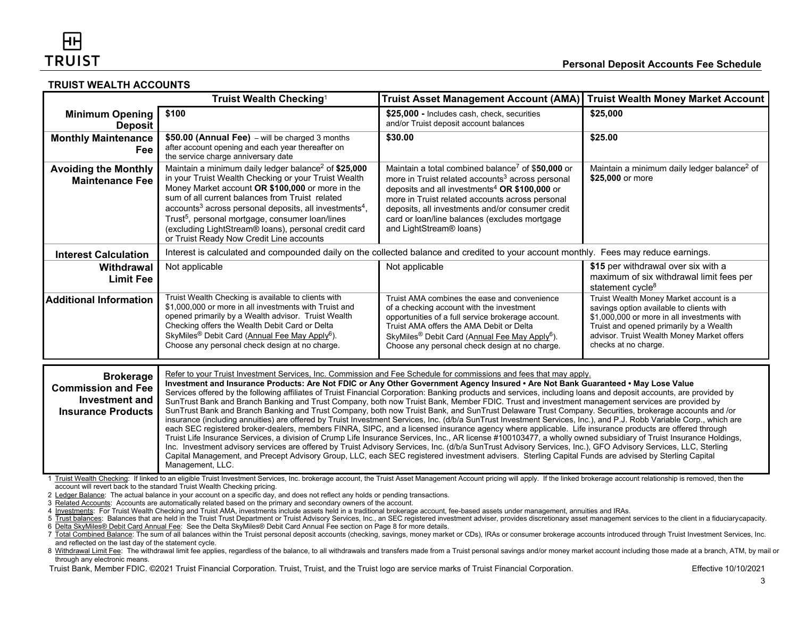#### **TRUIST WEALTH ACCOUNTS**

|                                                                                                                                                                                                                                                                                                                                                                                                                                                                                                                                                                                                                                                                                                                                                                                                                                                                                                                                                                                                                                                                                                                                                                                                                                                                                                                                                                                                                                                                                                                                                                                                                                                                                                                                                                                                                                                                                                                                                                                                                     | Truist Wealth Checking <sup>1</sup>                                                                                                                                                                                                                                                                                                                                                                                                                                                  | <b>Truist Asset Management Account (AMA)</b>                                                                                                                                                                                                                                                                                                                                  | <b>Truist Wealth Money Market Account</b>                                                                                                                                                                                                           |
|---------------------------------------------------------------------------------------------------------------------------------------------------------------------------------------------------------------------------------------------------------------------------------------------------------------------------------------------------------------------------------------------------------------------------------------------------------------------------------------------------------------------------------------------------------------------------------------------------------------------------------------------------------------------------------------------------------------------------------------------------------------------------------------------------------------------------------------------------------------------------------------------------------------------------------------------------------------------------------------------------------------------------------------------------------------------------------------------------------------------------------------------------------------------------------------------------------------------------------------------------------------------------------------------------------------------------------------------------------------------------------------------------------------------------------------------------------------------------------------------------------------------------------------------------------------------------------------------------------------------------------------------------------------------------------------------------------------------------------------------------------------------------------------------------------------------------------------------------------------------------------------------------------------------------------------------------------------------------------------------------------------------|--------------------------------------------------------------------------------------------------------------------------------------------------------------------------------------------------------------------------------------------------------------------------------------------------------------------------------------------------------------------------------------------------------------------------------------------------------------------------------------|-------------------------------------------------------------------------------------------------------------------------------------------------------------------------------------------------------------------------------------------------------------------------------------------------------------------------------------------------------------------------------|-----------------------------------------------------------------------------------------------------------------------------------------------------------------------------------------------------------------------------------------------------|
| <b>Minimum Opening</b><br><b>Deposit</b>                                                                                                                                                                                                                                                                                                                                                                                                                                                                                                                                                                                                                                                                                                                                                                                                                                                                                                                                                                                                                                                                                                                                                                                                                                                                                                                                                                                                                                                                                                                                                                                                                                                                                                                                                                                                                                                                                                                                                                            | \$100                                                                                                                                                                                                                                                                                                                                                                                                                                                                                | \$25,000 - Includes cash, check, securities<br>and/or Truist deposit account balances                                                                                                                                                                                                                                                                                         | \$25,000                                                                                                                                                                                                                                            |
| <b>Monthly Maintenance</b><br>Fee                                                                                                                                                                                                                                                                                                                                                                                                                                                                                                                                                                                                                                                                                                                                                                                                                                                                                                                                                                                                                                                                                                                                                                                                                                                                                                                                                                                                                                                                                                                                                                                                                                                                                                                                                                                                                                                                                                                                                                                   | \$50.00 (Annual Fee) - will be charged 3 months<br>after account opening and each year thereafter on<br>the service charge anniversary date                                                                                                                                                                                                                                                                                                                                          | \$30.00                                                                                                                                                                                                                                                                                                                                                                       | \$25.00                                                                                                                                                                                                                                             |
| <b>Avoiding the Monthly</b><br><b>Maintenance Fee</b>                                                                                                                                                                                                                                                                                                                                                                                                                                                                                                                                                                                                                                                                                                                                                                                                                                                                                                                                                                                                                                                                                                                                                                                                                                                                                                                                                                                                                                                                                                                                                                                                                                                                                                                                                                                                                                                                                                                                                               | Maintain a minimum daily ledger balance <sup>2</sup> of \$25,000<br>in your Truist Wealth Checking or your Truist Wealth<br>Money Market account OR \$100,000 or more in the<br>sum of all current balances from Truist related<br>accounts <sup>3</sup> across personal deposits, all investments <sup>4</sup> ,<br>Trust <sup>5</sup> , personal mortgage, consumer loan/lines<br>(excluding LightStream® loans), personal credit card<br>or Truist Ready Now Credit Line accounts | Maintain a total combined balance <sup>7</sup> of \$50,000 or<br>more in Truist related accounts <sup>3</sup> across personal<br>deposits and all investments <sup>4</sup> OR \$100,000 or<br>more in Truist related accounts across personal<br>deposits, all investments and/or consumer credit<br>card or loan/line balances (excludes mortgage<br>and LightStream® loans) | Maintain a minimum daily ledger balance <sup>2</sup> of<br>\$25,000 or more                                                                                                                                                                         |
| <b>Interest Calculation</b>                                                                                                                                                                                                                                                                                                                                                                                                                                                                                                                                                                                                                                                                                                                                                                                                                                                                                                                                                                                                                                                                                                                                                                                                                                                                                                                                                                                                                                                                                                                                                                                                                                                                                                                                                                                                                                                                                                                                                                                         | Interest is calculated and compounded daily on the collected balance and credited to your account monthly. Fees may reduce earnings.                                                                                                                                                                                                                                                                                                                                                 |                                                                                                                                                                                                                                                                                                                                                                               |                                                                                                                                                                                                                                                     |
| Withdrawal<br><b>Limit Fee</b>                                                                                                                                                                                                                                                                                                                                                                                                                                                                                                                                                                                                                                                                                                                                                                                                                                                                                                                                                                                                                                                                                                                                                                                                                                                                                                                                                                                                                                                                                                                                                                                                                                                                                                                                                                                                                                                                                                                                                                                      | Not applicable                                                                                                                                                                                                                                                                                                                                                                                                                                                                       | Not applicable                                                                                                                                                                                                                                                                                                                                                                | \$15 per withdrawal over six with a<br>maximum of six withdrawal limit fees per<br>statement cycle <sup>8</sup>                                                                                                                                     |
| <b>Additional Information</b>                                                                                                                                                                                                                                                                                                                                                                                                                                                                                                                                                                                                                                                                                                                                                                                                                                                                                                                                                                                                                                                                                                                                                                                                                                                                                                                                                                                                                                                                                                                                                                                                                                                                                                                                                                                                                                                                                                                                                                                       | Truist Wealth Checking is available to clients with<br>\$1,000,000 or more in all investments with Truist and<br>opened primarily by a Wealth advisor. Truist Wealth<br>Checking offers the Wealth Debit Card or Delta<br>SkyMiles <sup>®</sup> Debit Card (Annual Fee May Apply <sup>6</sup> ).<br>Choose any personal check design at no charge.                                                                                                                                   | Truist AMA combines the ease and convenience<br>of a checking account with the investment<br>opportunities of a full service brokerage account.<br>Truist AMA offers the AMA Debit or Delta<br>SkyMiles <sup>®</sup> Debit Card (Annual Fee May Apply <sup>6</sup> ).<br>Choose any personal check design at no charge.                                                       | Truist Wealth Money Market account is a<br>savings option available to clients with<br>\$1,000,000 or more in all investments with<br>Truist and opened primarily by a Wealth<br>advisor. Truist Wealth Money Market offers<br>checks at no charge. |
| Refer to your Truist Investment Services, Inc. Commission and Fee Schedule for commissions and fees that may apply.<br><b>Brokerage</b><br>Investment and Insurance Products: Are Not FDIC or Any Other Government Agency Insured . Are Not Bank Guaranteed . May Lose Value<br><b>Commission and Fee</b><br>Services offered by the following affiliates of Truist Financial Corporation: Banking products and services, including loans and deposit accounts, are provided by<br><b>Investment and</b><br>SunTrust Bank and Branch Banking and Trust Company, both now Truist Bank, Member FDIC. Trust and investment management services are provided by<br>SunTrust Bank and Branch Banking and Trust Company, both now Truist Bank, and SunTrust Delaware Trust Company. Securities, brokerage accounts and /or<br><b>Insurance Products</b><br>insurance (including annuities) are offered by Truist Investment Services, Inc. (d/b/a SunTrust Investment Services, Inc.), and P.J. Robb Variable Corp., which are<br>each SEC registered broker-dealers, members FINRA, SIPC, and a licensed insurance agency where applicable. Life insurance products are offered through<br>Truist Life Insurance Services, a division of Crump Life Insurance Services, Inc., AR license #100103477, a wholly owned subsidiary of Truist Insurance Holdings,<br>Inc. Investment advisory services are offered by Truist Advisory Services, Inc. (d/b/a SunTrust Advisory Services, Inc.), GFO Advisory Services, LLC, Sterling<br>Capital Management, and Precept Advisory Group, LLC, each SEC registered investment advisers. Sterling Capital Funds are advised by Sterling Capital<br>Management, LLC.<br>Truist Wealth Checking: If linked to an eligible Truist Investment Services, Inc. brokerage account, the Truist Asset Management Account pricing will apply. If the linked brokerage account relationship is removed, then the<br>account will revert back to the standard Truist Wealth Checking pricing. |                                                                                                                                                                                                                                                                                                                                                                                                                                                                                      |                                                                                                                                                                                                                                                                                                                                                                               |                                                                                                                                                                                                                                                     |
|                                                                                                                                                                                                                                                                                                                                                                                                                                                                                                                                                                                                                                                                                                                                                                                                                                                                                                                                                                                                                                                                                                                                                                                                                                                                                                                                                                                                                                                                                                                                                                                                                                                                                                                                                                                                                                                                                                                                                                                                                     | 2 Ledger Balance: The actual balance in your account on a specific day, and does not reflect any holds or pending transactions.<br>Delated Acoguitar, Acoguita are automotically related begad on the primary and coopedan; gumara of                                                                                                                                                                                                                                                |                                                                                                                                                                                                                                                                                                                                                                               |                                                                                                                                                                                                                                                     |

3 <u>Related Accounts</u>: Accounts are automatically related based on the primary and secondary owners of the account.<br>4 <u>Investments</u>: For Truist Wealth Checking and Truist AMA, investments include assets held in a traditiona

<sup>5</sup> Trust balances: Balances that are held in the Truist Trust Department or Truist Advisory Services, Inc., an SEC registered investment adviser, provides discretionary asset management services to the client in a fiduciary

<sup>6</sup> Delta SkyMiles® Debit Card Annual Fee: See the Delta SkyMiles® Debit Card Annual Fee section on Page 8 for more details.

<sup>7</sup> Total Combined Balance: The sum of all balances within the Truist personal deposit accounts (checking, savings, money market or CDs), IRAs or consumer brokerage accounts introduced through Truist Investment Services, Inc. and reflected on the last day of the statement cycle.

<sup>8</sup> Withdrawal Limit Fee: The withdrawal limit fee applies, regardless of the balance, to all withdrawals and transfers made from a Truist personal savings and/or money market account including those made at a branch, ATM, b through any electronic means.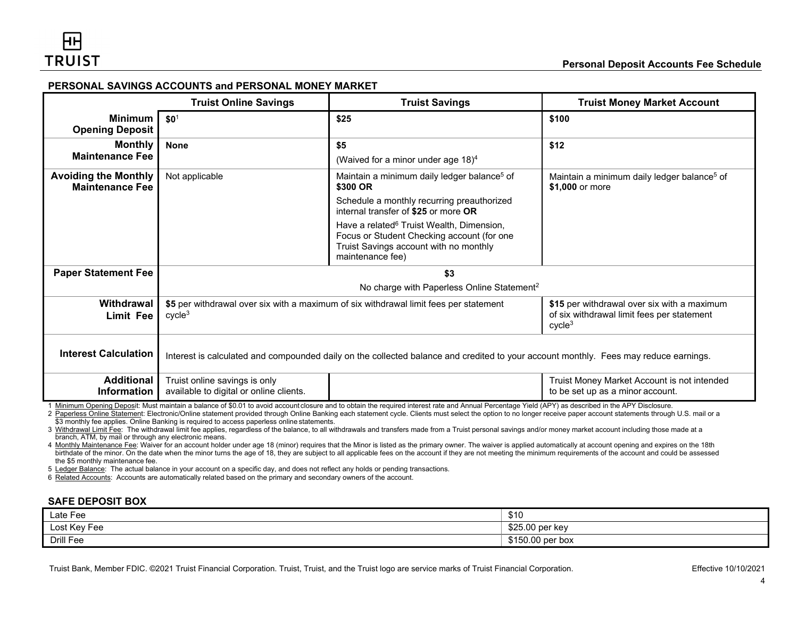# **PERSONAL SAVINGS ACCOUNTS and PERSONAL MONEY MARKET**

|                                                                                                                                                                                                                                                                                                                                                                                                                           | <b>Truist Online Savings</b>                                                                                                                                                                                                   | <b>Truist Savings</b>                                                                                                                                             | <b>Truist Money Market Account</b>                                              |
|---------------------------------------------------------------------------------------------------------------------------------------------------------------------------------------------------------------------------------------------------------------------------------------------------------------------------------------------------------------------------------------------------------------------------|--------------------------------------------------------------------------------------------------------------------------------------------------------------------------------------------------------------------------------|-------------------------------------------------------------------------------------------------------------------------------------------------------------------|---------------------------------------------------------------------------------|
| <b>Minimum</b><br><b>Opening Deposit</b>                                                                                                                                                                                                                                                                                                                                                                                  | \$0 <sup>1</sup>                                                                                                                                                                                                               | \$25                                                                                                                                                              | \$100                                                                           |
| <b>Monthly</b><br><b>Maintenance Fee</b>                                                                                                                                                                                                                                                                                                                                                                                  | <b>None</b>                                                                                                                                                                                                                    | \$5<br>(Waived for a minor under age 18) <sup>4</sup>                                                                                                             | \$12                                                                            |
| <b>Avoiding the Monthly</b><br><b>Maintenance Fee</b>                                                                                                                                                                                                                                                                                                                                                                     | Not applicable                                                                                                                                                                                                                 | Maintain a minimum daily ledger balance <sup>5</sup> of<br>\$300 OR                                                                                               | Maintain a minimum daily ledger balance <sup>5</sup> of<br>\$1.000 or more      |
|                                                                                                                                                                                                                                                                                                                                                                                                                           |                                                                                                                                                                                                                                | Schedule a monthly recurring preauthorized<br>internal transfer of \$25 or more OR                                                                                |                                                                                 |
|                                                                                                                                                                                                                                                                                                                                                                                                                           |                                                                                                                                                                                                                                | Have a related <sup>6</sup> Truist Wealth, Dimension,<br>Focus or Student Checking account (for one<br>Truist Savings account with no monthly<br>maintenance fee) |                                                                                 |
| <b>Paper Statement Fee</b>                                                                                                                                                                                                                                                                                                                                                                                                | \$3                                                                                                                                                                                                                            |                                                                                                                                                                   |                                                                                 |
|                                                                                                                                                                                                                                                                                                                                                                                                                           | No charge with Paperless Online Statement <sup>2</sup>                                                                                                                                                                         |                                                                                                                                                                   |                                                                                 |
| Withdrawal<br><b>Limit Fee</b>                                                                                                                                                                                                                                                                                                                                                                                            | \$5 per withdrawal over six with a maximum of six withdrawal limit fees per statement<br>\$15 per withdrawal over six with a maximum<br>of six withdrawal limit fees per statement<br>cycle <sup>3</sup><br>cycle <sup>3</sup> |                                                                                                                                                                   |                                                                                 |
| <b>Interest Calculation</b>                                                                                                                                                                                                                                                                                                                                                                                               | Interest is calculated and compounded daily on the collected balance and credited to your account monthly. Fees may reduce earnings.                                                                                           |                                                                                                                                                                   |                                                                                 |
| <b>Additional</b><br><b>Information</b>                                                                                                                                                                                                                                                                                                                                                                                   | Truist online savings is only<br>available to digital or online clients.                                                                                                                                                       |                                                                                                                                                                   | Truist Money Market Account is not intended<br>to be set up as a minor account. |
| Minimum Opening Deposit: Must maintain a balance of \$0.01 to avoid account closure and to obtain the required interest rate and Annual Percentage Yield (APY) as described in the APY Disclosure.<br>2 Paperless Online Statement: Electronic/Online statement provided through Online Banking each statement cycle. Clients must select the option to no longer receive paper account statements through U.S. mail or a |                                                                                                                                                                                                                                |                                                                                                                                                                   |                                                                                 |

\$3 monthly fee applies. Online Banking is required to access paperless online statements.

3 Withdrawal Limit Fee: The withdrawal limit fee applies, regardless of the balance, to all withdrawals and transfers made from a Truist personal savings and/or money market account including those made at a branch, ATM, by mail or through any electronic means.

4 Monthly Maintenance Fee: Waiver for an account holder under age 18 (minor) requires that the Minor is listed as the primary owner. The waiver is applied automatically at account opening and expires on the 18th birthdate of the minor. On the date when the minor turns the age of 18, they are subject to all applicable fees on the account if they are not meeting the minimum requirements of the account and could be assessed the \$5 monthly maintenance fee.

5 Ledger Balance: The actual balance in your account on a specific day, and does not reflect any holds or pending transactions.

6 Related Accounts: Accounts are automatically related based on the primary and secondary owners of the account.

# **SAFE DEPOSIT BOX**

| Late Fee     | 0.40<br>∪ו پ     |
|--------------|------------------|
| Lost Key Fee | \$25.00 per key  |
| Drill Fee    | \$150.00 per box |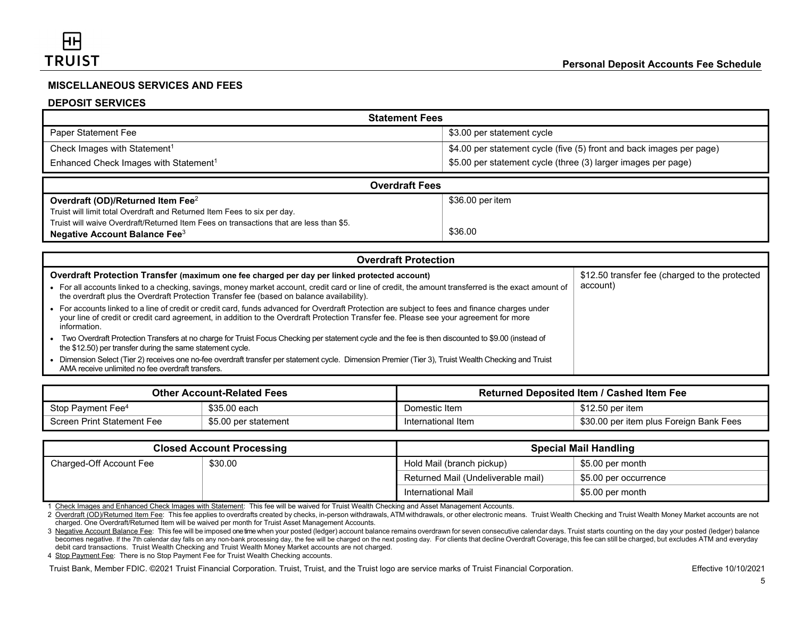# **MISCELLANEOUS SERVICES AND FEES**

# **DEPOSIT SERVICES**

| <b>Statement Fees</b>                             |                                                                      |  |
|---------------------------------------------------|----------------------------------------------------------------------|--|
| Paper Statement Fee                               | \$3.00 per statement cycle                                           |  |
| Check Images with Statement <sup>1</sup>          | \$4.00 per statement cycle (five (5) front and back images per page) |  |
| Enhanced Check Images with Statement <sup>1</sup> | \$5.00 per statement cycle (three (3) larger images per page)        |  |

| <b>Overdraft Fees</b>                                                                  |                  |  |  |
|----------------------------------------------------------------------------------------|------------------|--|--|
| Overdraft (OD)/Returned Item Fee <sup>2</sup>                                          | \$36.00 per item |  |  |
| Truist will limit total Overdraft and Returned Item Fees to six per day.               |                  |  |  |
| Truist will waive Overdraft/Returned Item Fees on transactions that are less than \$5. |                  |  |  |
| Negative Account Balance Fee $3$                                                       | \$36.00          |  |  |

| <b>Overdraft Protection</b>                                                                                                                                                                                                                                                                             |                                                |  |
|---------------------------------------------------------------------------------------------------------------------------------------------------------------------------------------------------------------------------------------------------------------------------------------------------------|------------------------------------------------|--|
| Overdraft Protection Transfer (maximum one fee charged per day per linked protected account)                                                                                                                                                                                                            | \$12.50 transfer fee (charged to the protected |  |
| • For all accounts linked to a checking, savings, money market account, credit card or line of credit, the amount transferred is the exact amount of<br>the overdraft plus the Overdraft Protection Transfer fee (based on balance availability).                                                       | account)                                       |  |
| For accounts linked to a line of credit or credit card, funds advanced for Overdraft Protection are subject to fees and finance charges under<br>your line of credit or credit card agreement, in addition to the Overdraft Protection Transfer fee. Please see your agreement for more<br>information. |                                                |  |
| Two Overdraft Protection Transfers at no charge for Truist Focus Checking per statement cycle and the fee is then discounted to \$9.00 (instead of<br>the \$12.50) per transfer during the same statement cycle.                                                                                        |                                                |  |
| Dimension Select (Tier 2) receives one no-fee overdraft transfer per statement cycle. Dimension Premier (Tier 3), Truist Wealth Checking and Truist<br>AMA receive unlimited no fee overdraft transfers.                                                                                                |                                                |  |

| <b>Other Account-Related Fees</b> |                      | <b>Returned Deposited Item / Cashed Item Fee</b> |                                         |
|-----------------------------------|----------------------|--------------------------------------------------|-----------------------------------------|
| Stop Payment Fee <sup>4</sup>     | \$35.00 each         | Domestic Item                                    | \$12.50 per item                        |
| Screen Print Statement Fee        | \$5.00 per statement | International Item                               | \$30.00 per item plus Foreign Bank Fees |

|                         | <b>Closed Account Processing</b> |                                    | <b>Special Mail Handling</b> |
|-------------------------|----------------------------------|------------------------------------|------------------------------|
| Charged-Off Account Fee | \$30.00                          | Hold Mail (branch pickup)          | \$5.00 per month             |
|                         |                                  | Returned Mail (Undeliverable mail) | \$5.00 per occurrence        |
|                         |                                  | International Mail                 | \$5.00 per month             |

1 Check Images and Enhanced Check Images with Statement: This fee will be waived for Truist Wealth Checking and Asset Management Accounts.

2 Overdraft (OD)/Returned Item Fee: This fee applies to overdrafts created by checks, in-person withdrawals, ATM withdrawals, or other electronic means. Truist Wealth Checking and Truist Wealth Money Market accounts are no charged. One Overdraft/Returned Item will be waived per month for Truist Asset Management Accounts.

3 Negative Account Balance Fee: This fee will be imposed onetime when your posted (ledger) account balance remains overdrawn for seven consecutive calendar days. Truist starts counting on the day your posted (ledger) balance becomes negative. If the 7th calendar day falls on any non-bank processing day, the fee will be charged on the next posting day. For clients that decline Overdraft Coverage, this fee can still be charged, but excludes ATM debit card transactions. Truist Wealth Checking and Truist Wealth Money Market accounts are not charged.

4 Stop Payment Fee: There is no Stop Payment Fee for Truist Wealth Checking accounts.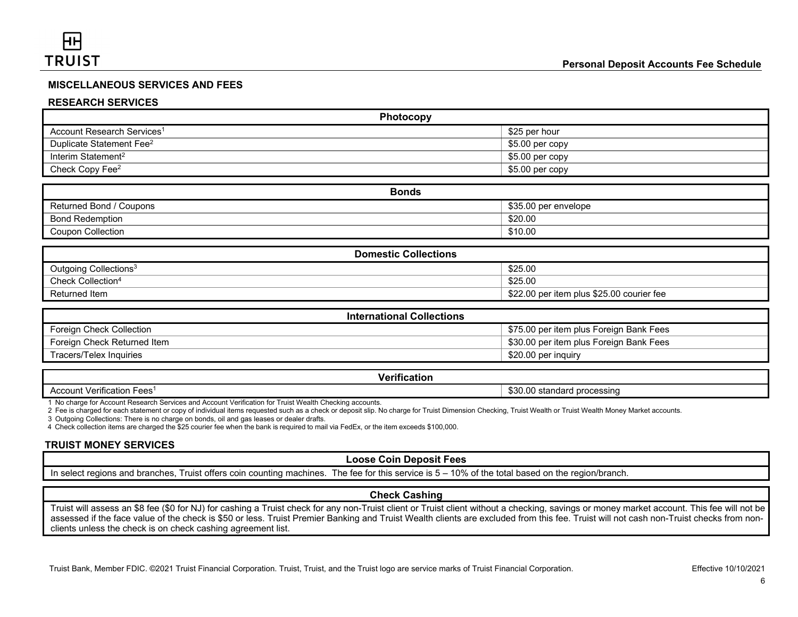# **MISCELLANEOUS SERVICES AND FEES**

#### **RESEARCH SERVICES**

| Photocopy                              |                  |  |
|----------------------------------------|------------------|--|
| Account Research Services <sup>1</sup> | \$25 per hour    |  |
| Duplicate Statement Fee <sup>2</sup>   | $$5.00$ per copy |  |
| Interim Statement <sup>2</sup>         | $$5.00$ per copy |  |
| Check Copy Fee <sup>2</sup>            | \$5.00 per copy  |  |

| <b>Bonds</b>             |                      |  |
|--------------------------|----------------------|--|
| Returned Bond / Coupons  | \$35.00 per envelope |  |
| <b>Bond Redemption</b>   | \$20.00              |  |
| <b>Coupon Collection</b> | \$10.00              |  |

| <b>Domestic Collections</b>       |                                           |  |
|-----------------------------------|-------------------------------------------|--|
| Outgoing Collections <sup>3</sup> | \$25.00                                   |  |
| Check Collection <sup>4</sup>     | \$25.00                                   |  |
| Returned Item                     | \$22.00 per item plus \$25.00 courier fee |  |

| <b>International Collections</b> |                                         |  |
|----------------------------------|-----------------------------------------|--|
| Foreign Check Collection         | \$75.00 per item plus Foreign Bank Fees |  |
| Foreign Check Returned Item      | \$30.00 per item plus Foreign Bank Fees |  |
| Tracers/Telex Inquiries          | \$20.00 per inquiry                     |  |

#### **Verification**

Account Verification Fees<sup>1</sup> by the standard processing and a standard processing and a standard processing and a standard processing

1 No charge for Account Research Services and Account Verification for Truist Wealth Checking accounts.

2 Fee is charged for each statement or copy of individual items requested such as a check or deposit slip. No charge for Truist Dimension Checking, Truist Wealth or Truist Wealth Money Market accounts.

3 Outgoing Collections: There is no charge on bonds, oil and gas leases or dealer drafts.

4 Check collection items are charged the \$25 courier fee when the bank is required to mail via FedEx, or the item exceeds \$100,000.

# **TRUIST MONEY SERVICES**

#### **Loose Coin Deposit Fees**

In select regions and branches, Truist offers coin counting machines. The fee for this service is 5 – 10% of the total based on the region/branch.

#### **Check Cashing**

Truist will assess an \$8 fee (\$0 for NJ) for cashing a Truist check for any non-Truist client or Truist client without a checking, savings or money market account. This fee will not be assessed if the face value of the check is \$50 or less. Truist Premier Banking and Truist Wealth clients are excluded from this fee. Truist will not cash non-Truist checks from nonclients unless the check is on check cashing agreement list.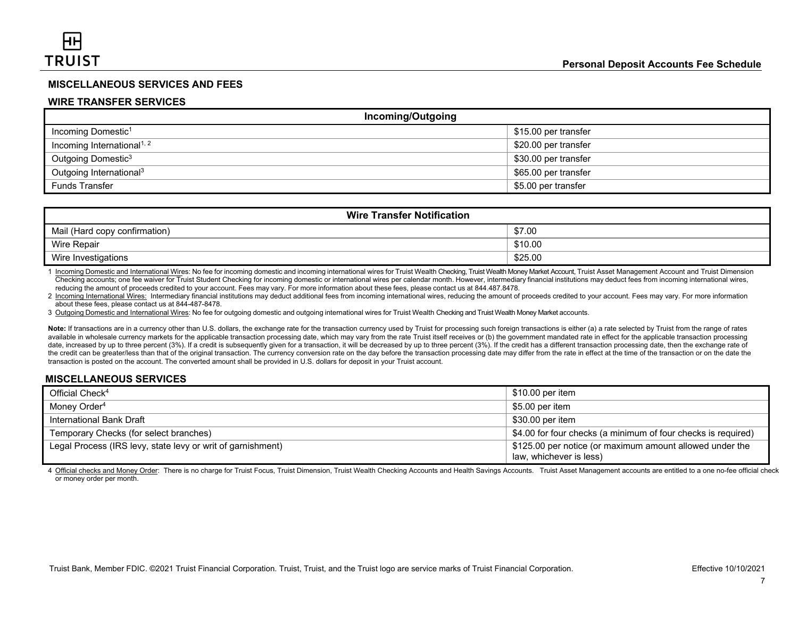# **MISCELLANEOUS SERVICES AND FEES**

#### **WIRE TRANSFER SERVICES**

| <b>Incoming/Outgoing</b>               |                      |
|----------------------------------------|----------------------|
| Incoming Domestic <sup>1</sup>         | \$15.00 per transfer |
| Incoming International <sup>1, 2</sup> | \$20.00 per transfer |
| Outgoing Domestic <sup>3</sup>         | \$30.00 per transfer |
| Outgoing International <sup>3</sup>    | \$65.00 per transfer |
| <b>Funds Transfer</b>                  | \$5.00 per transfer  |

| <b>Wire Transfer Notification</b> |         |
|-----------------------------------|---------|
| Mail (Hard copy confirmation)     | \$7.00  |
| Wire Repair                       | \$10.00 |
| Wire Investigations               | \$25.00 |

1 Incoming Domestic and International Wires: No fee for incoming domestic and incoming international wires for Truist Wealth Checking, Truist Wealth Money Market Account, Truist Asset Management Account and Truist Dimension Checking accounts; one fee waiver for Truist Student Checking for incoming domestic or international wires per calendar month. However, intermediary financial institutions may deduct fees from incoming international wires, reducing the amount of proceeds credited to your account. Fees may vary. For more information about these fees, please contact us at 844.487.8478.

2 Incoming International Wires: Intermediary financial institutions may deduct additional fees from incoming international wires, reducing the amount of proceeds credited to your account. Fees may vary. For more informatio about these fees, please contact us at 844-487-8478.

3 Outgoing Domestic and International Wires: No fee for outgoing domestic and outgoing international wires for Truist Wealth Checking and Truist Wealth Money Market accounts.

Note: If transactions are in a currency other than U.S. dollars, the exchange rate for the transaction currency used by Truist for processing such foreign transactions is either (a) a rate selected by Truist from the range available in wholesale currency markets for the applicable transaction processing date, which may vary from the rate Truist itself receives or (b) the government mandated rate in effect for the applicable transaction proce date, increased by up to three percent (3%). If a credit is subsequently given for a transaction, it will be decreased by up to three percent (3%). If the credit has a different transaction processing date, then the exchan the credit can be greater/less than that of the original transaction. The currency conversion rate on the day before the transaction processing date may differ from the rate in effect at the time of the transaction or on t transaction is posted on the account. The converted amount shall be provided in U.S. dollars for deposit in your Truist account.

# **MISCELLANEOUS SERVICES**

| Official Check <sup>4</sup>                                 | \$10.00 per item                                                                    |
|-------------------------------------------------------------|-------------------------------------------------------------------------------------|
| Money Order <sup>4</sup>                                    | \$5.00 per item                                                                     |
| International Bank Draft                                    | \$30.00 per item                                                                    |
| Temporary Checks (for select branches)                      | \$4.00 for four checks (a minimum of four checks is required)                       |
| Legal Process (IRS levy, state levy or writ of garnishment) | \$125.00 per notice (or maximum amount allowed under the<br>law, whichever is less) |

4 Official checks and Money Order: There is no charge for Truist Focus. Truist Dimension. Truist Wealth Checking Accounts and Health Sayings Accounts. Truist Asset Management accounts are entitled to a one no-fee official or money order per month.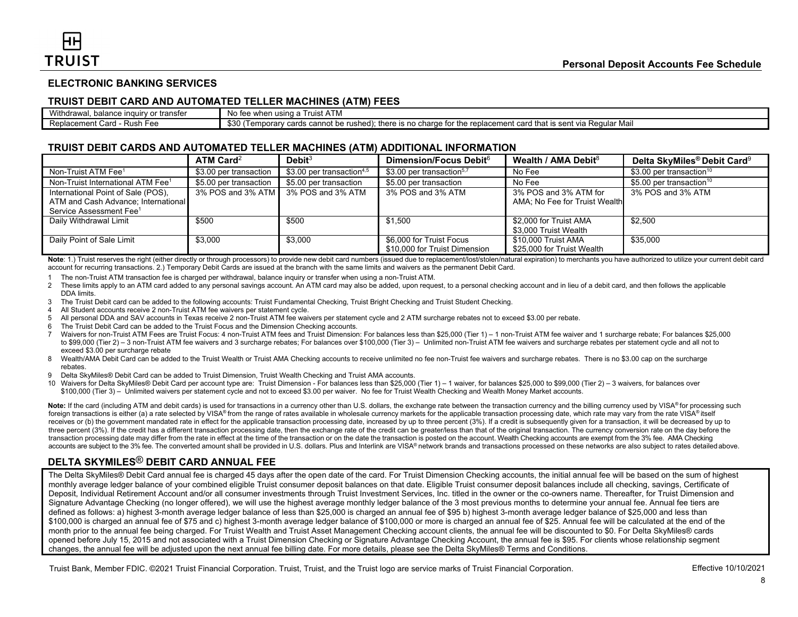# **ELECTRONIC BANKING SERVICES**

#### **TRUIST DEBIT CARD AND AUTOMATED TELLER MACHINES (ATM) FEES**

| 'Withc<br>∵rransfer<br>drawal.<br>n o c<br>ınau<br>m<br>ີາເພ | $\sim$ $-$<br>No fee<br>when using a<br>Truist ATM                                                                                                                                                                                                    |
|--------------------------------------------------------------|-------------------------------------------------------------------------------------------------------------------------------------------------------------------------------------------------------------------------------------------------------|
| Replacement<br>Card<br>Rush<br>0⊿ - ا<br>- 66                | ጠግቦ<br>J that<br>ılar Mail<br>there<br>rushed)<br>sent<br>replad<br>cannot be<br>ı Reauls<br>$\sim$ . The set of $\sim$<br>$\sim$<br>$\mathbf{u}$<br>empora<br>$\sim$<br>s no<br>ыны<br>n cu<br>-<br>van<br>$\overline{\phantom{a}}$<br>ພບບ<br>.<br>╵ |

#### **TRUIST DEBIT CARDS AND AUTOMATED TELLER MACHINES (ATM) ADDITIONAL INFORMATION**

|                                               | $ATM$ Card <sup>2</sup> | Debit <sup>3</sup>                    | Dimension/Focus Debit <sup>6</sup>    | Wealth / AMA Debit $8$        | Delta SkyMiles <sup>®</sup> Debit Card <sup>9</sup> |
|-----------------------------------------------|-------------------------|---------------------------------------|---------------------------------------|-------------------------------|-----------------------------------------------------|
| Non-Truist ATM Fee <sup>1</sup>               | \$3.00 per transaction  | \$3.00 per transaction <sup>4,5</sup> | \$3.00 per transaction <sup>5,7</sup> | No Fee                        | \$3.00 per transaction <sup>10</sup>                |
| Non-Truist International ATM Fee <sup>1</sup> | \$5.00 per transaction  | \$5.00 per transaction                | \$5.00 per transaction                | No Fee                        | \$5.00 per transaction <sup>10</sup>                |
| International Point of Sale (POS),            | 3% POS and 3% ATM       | 3% POS and 3% ATM                     | 3% POS and 3% ATM                     | 3% POS and 3% ATM for         | 3% POS and 3% ATM                                   |
| ATM and Cash Advance; International           |                         |                                       |                                       | AMA; No Fee for Truist Wealth |                                                     |
| Service Assessment Fee <sup>1</sup>           |                         |                                       |                                       |                               |                                                     |
| Daily Withdrawal Limit                        | \$500                   | \$500                                 | \$1.500                               | \$2.000 for Truist AMA        | \$2.500                                             |
|                                               |                         |                                       |                                       | \$3,000 Truist Wealth         |                                                     |
| Daily Point of Sale Limit                     | \$3.000                 | \$3,000                               | \$6,000 for Truist Focus              | \$10,000 Truist AMA           | \$35,000                                            |
|                                               |                         |                                       | \$10,000 for Truist Dimension         | \$25,000 for Truist Wealth    |                                                     |

Note: 1.) Truist reserves the right (either directly or through processors) to provide new debit card numbers (issued due to replacement/lost/stolen/natural expiration) to merchants you have authorized to utilize your curr account for recurring transactions. 2.) Temporary Debit Cards are issued at the branch with the same limits and waivers as the permanent Debit Card.

1 The non-Truist ATM transaction fee is charged per withdrawal, balance inquiry or transfer when using a non-Truist ATM.

- 2 These limits apply to an ATM card added to any personal savings account. An ATM card may also be added, upon request, to a personal checking account and in lieu of a debit card, and then follows the applicable DDA limits.
- 3 The Truist Debit card can be added to the following accounts: Truist Fundamental Checking, Truist Bright Checking and Truist Student Checking.
- 4 All Student accounts receive 2 non-Truist ATM fee waivers per statement cycle.
- 5 All personal DDA and SAV accounts in Texas receive 2 non-Truist ATM fee waivers per statement cycle and 2 ATM surcharge rebates not to exceed \$3.00 per rebate.
- 6 The Truist Debit Card can be added to the Truist Focus and the Dimension Checking accounts.
- 7 Waivers for non-Truist ATM Fees are Truist Focus: 4 non-Truist ATM fees and Truist Dimension: For balances less than \$25,000 (Tier 1) 1 non-Truist ATM fee waiver and 1 surcharge rebate; For balances \$25,000 to \$99,000 (Tier 2) – 3 non-Truist ATM fee waivers and 3 surcharge rebates; For balances over \$100,000 (Tier 3) – Unlimited non-Truist ATM fee waivers and surcharge rebates per statement cycle and all not to exceed \$3.00 per surcharge rebate
- 8 Wealth/AMA Debit Card can be added to the Truist Wealth or Truist AMA Checking accounts to receive unlimited no fee non-Truist fee waivers and surcharge rebates. There is no \$3.00 cap on the surcharge rebates.
- 9 Delta SkyMiles® Debit Card can be added to Truist Dimension, Truist Wealth Checking and Truist AMA accounts.
- 10 Waivers for Delta SkyMiles® Debit Card per account type are: Truist Dimension For balances less than \$25,000 (Tier 1) 1 waiver, for balances \$25,000 to \$99,000 (Tier 2) 3 waivers, for balances over \$100,000 (Tier 3) – Unlimited waivers per statement cycle and not to exceed \$3.00 per waiver. No fee for Truist Wealth Checking and Wealth Money Market accounts.

Note: If the card (including ATM and debit cards) is used for transactions in a currency other than U.S. dollars, the exchange rate between the transaction currency and the billing currency used by VISA® for processing suc foreign transactions is either (a) a rate selected by VISA® from the range of rates available in wholesale currency markets for the applicable transaction processing date, which rate may vary from the rate VISA® itself receives or (b) the government mandated rate in effect for the applicable transaction processing date, increased by up to three percent (3%). If a credit is subsequently given for a transaction, it will be decreased by up three percent (3%). If the credit has a different transaction processing date, then the exchange rate of the credit can be greater/less than that of the original transaction. The currency conversion rate on the day before transaction processing date may differ from the rate in effect at the time of the transaction or on the date the transaction is posted on the account. Wealth Checking accounts are exempt from the 3% fee. AMA Checking accounts are subject to the 3% fee. The converted amount shall be provided in U.S. dollars. Plus and Interlink are VISA® network brands and transactions processed on these networks are also subject to rates detailed above.

# **DELTA SKYMILES**® **DEBIT CARD ANNUAL FEE**

The Delta SkyMiles® Debit Card annual fee is charged 45 days after the open date of the card. For Truist Dimension Checking accounts, the initial annual fee will be based on the sum of highest monthly average ledger balance of your combined eligible Truist consumer deposit balances on that date. Eligible Truist consumer deposit balances include all checking, savings, Certificate of Deposit, Individual Retirement Account and/or all consumer investments through Truist Investment Services, Inc. titled in the owner or the co-owners name. Thereafter, for Truist Dimension and Signature Advantage Checking (no longer offered), we will use the highest average monthly ledger balance of the 3 most previous months to determine your annual fee. Annual fee tiers are defined as follows: a) highest 3-month average ledger balance of less than \$25,000 is charged an annual fee of \$95 b) highest 3-month average ledger balance of \$25,000 and less than \$100,000 is charged an annual fee of \$75 and c) highest 3-month average ledger balance of \$100,000 or more is charged an annual fee of \$25. Annual fee will be calculated at the end of the month prior to the annual fee being charged. For Truist Wealth and Truist Asset Management Checking account clients, the annual fee will be discounted to \$0. For Delta SkyMiles® cards opened before July 15, 2015 and not associated with a Truist Dimension Checking or Signature Advantage Checking Account, the annual fee is \$95. For clients whose relationship segment changes, the annual fee will be adjusted upon the next annual fee billing date. For more details, please see the Delta SkyMiles® Terms and Conditions.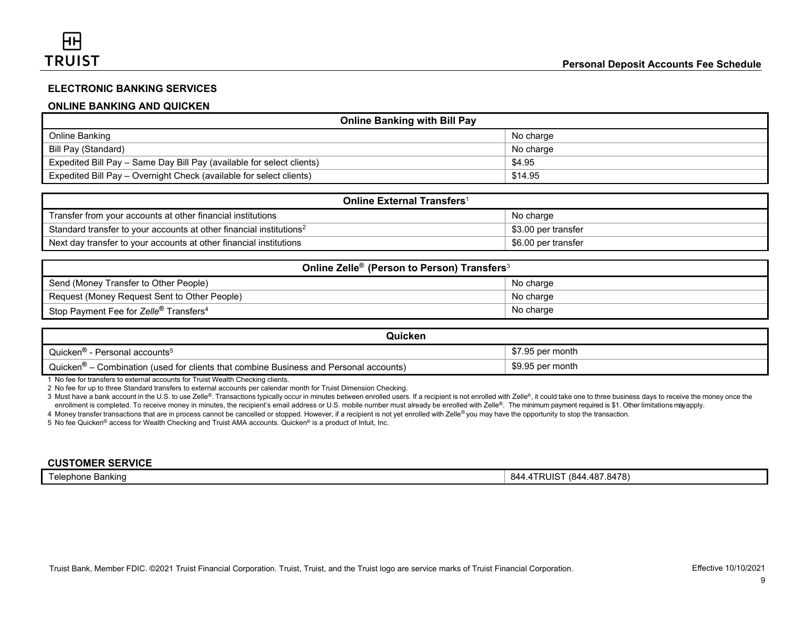# **ELECTRONIC BANKING SERVICES**

# **ONLINE BANKING AND QUICKEN**

| <b>Online Banking with Bill Pay</b>                                   |           |  |
|-----------------------------------------------------------------------|-----------|--|
| Online Banking                                                        | No charge |  |
| Bill Pay (Standard)                                                   | No charge |  |
| Expedited Bill Pay – Same Day Bill Pay (available for select clients) | \$4.95    |  |
| Expedited Bill Pay – Overnight Check (available for select clients)   | \$14.95   |  |

| <b>Online External Transfers</b> <sup>1</sup>                                   |                     |  |
|---------------------------------------------------------------------------------|---------------------|--|
| Transfer from your accounts at other financial institutions                     | No charge           |  |
| Standard transfer to your accounts at other financial institutions <sup>2</sup> | \$3.00 per transfer |  |
| Next day transfer to your accounts at other financial institutions              | \$6.00 per transfer |  |

| Online Zelle <sup>®</sup> (Person to Person) Transfers <sup>3</sup> |           |  |
|---------------------------------------------------------------------|-----------|--|
| Send (Money Transfer to Other People)                               | No charge |  |
| Request (Money Request Sent to Other People)                        | No charge |  |
| Stop Payment Fee for Zelle <sup>®</sup> Transfers <sup>4</sup>      | No charge |  |

| Quicken                                                                                           |                  |
|---------------------------------------------------------------------------------------------------|------------------|
| Quicken <sup>®</sup><br>′ - Personal accounts <sup>5</sup>                                        | \$7.95 per month |
| Quicken <sup>®</sup> – Combination (used for clients that combine Business and Personal accounts) | \$9.95 per month |

1 No fee for transfers to external accounts for Truist Wealth Checking clients.

2 No fee for up to three Standard transfers to external accounts per calendar month for Truist Dimension Checking.

3 Must have a bank account in the U.S. to use Zelle®. Transactions typically occur in minutes between enrolled users. If a recipient is not enrolled with Zelle®, it could take one to three business days to receive the mone enrollment is completed. To receive money in minutes, the recipient's email address or U.S. mobile number must already be enrolled with Zelle®. The minimum payment required is \$1. Other limitations may apply.

4 Money transfer transactions that are in process cannot be cancelled or stopped. However, if a recipient is not yet enrolled with Zelle*®* you may have the opportunity to stop the transaction.

5 No fee Quicken® access for Wealth Checking and Truist AMA accounts. Quicken® is a product of Intuit, Inc.

#### **CUSTOMER SERVICE**

Telephone Banking 844.4TRUIST (844.487.8478)